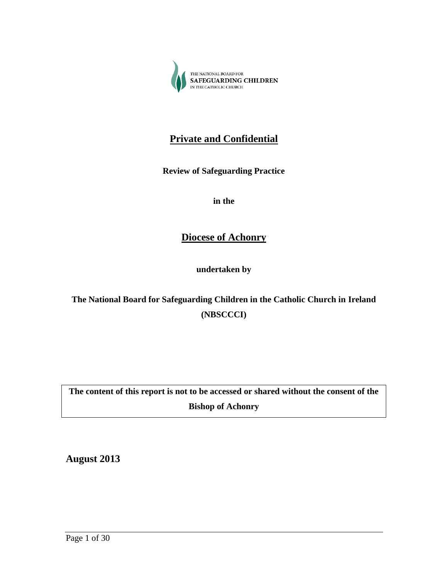

# **Private and Confidential**

**Review of Safeguarding Practice** 

**in the** 

**Diocese of Achonry**

**undertaken by**

**The National Board for Safeguarding Children in the Catholic Church in Ireland (NBSCCCI)**

**The content of this report is not to be accessed or shared without the consent of the Bishop of Achonry**

**August 2013**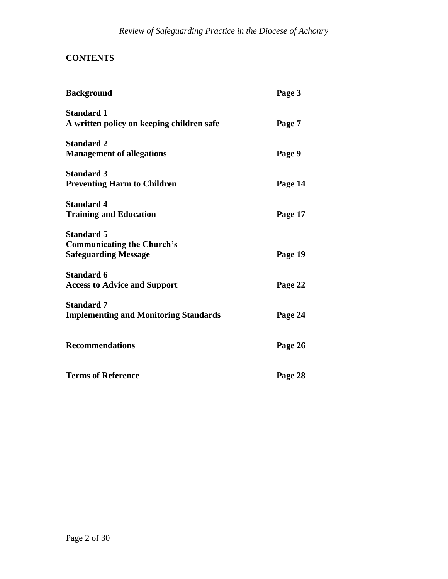# **CONTENTS**

| <b>Background</b>                                                                     | Page 3  |
|---------------------------------------------------------------------------------------|---------|
| <b>Standard 1</b><br>A written policy on keeping children safe                        | Page 7  |
| <b>Standard 2</b><br><b>Management of allegations</b>                                 | Page 9  |
| <b>Standard 3</b><br><b>Preventing Harm to Children</b>                               | Page 14 |
| <b>Standard 4</b><br><b>Training and Education</b>                                    | Page 17 |
| <b>Standard 5</b><br><b>Communicating the Church's</b><br><b>Safeguarding Message</b> | Page 19 |
| <b>Standard 6</b><br><b>Access to Advice and Support</b>                              | Page 22 |
| <b>Standard 7</b><br><b>Implementing and Monitoring Standards</b>                     | Page 24 |
| <b>Recommendations</b>                                                                | Page 26 |
| <b>Terms of Reference</b>                                                             | Page 28 |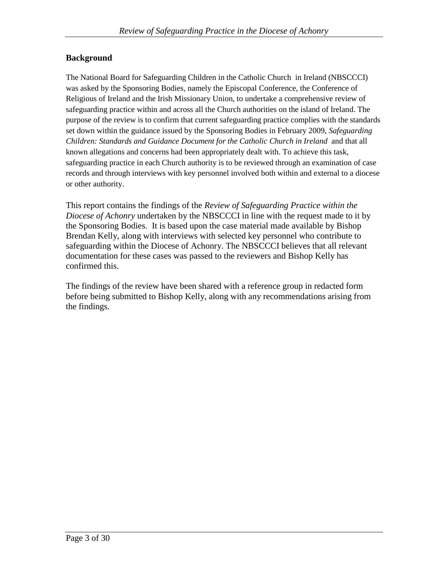### **Background**

The National Board for Safeguarding Children in the Catholic Church in Ireland (NBSCCCI) was asked by the Sponsoring Bodies, namely the Episcopal Conference, the Conference of Religious of Ireland and the Irish Missionary Union, to undertake a comprehensive review of safeguarding practice within and across all the Church authorities on the island of Ireland. The purpose of the review is to confirm that current safeguarding practice complies with the standards set down within the guidance issued by the Sponsoring Bodies in February 2009, *Safeguarding Children: Standards and Guidance Document for the Catholic Church in Ireland* and that all known allegations and concerns had been appropriately dealt with. To achieve this task, safeguarding practice in each Church authority is to be reviewed through an examination of case records and through interviews with key personnel involved both within and external to a diocese or other authority.

This report contains the findings of the *Review of Safeguarding Practice within the Diocese of Achonry* undertaken by the NBSCCCI in line with the request made to it by the Sponsoring Bodies. It is based upon the case material made available by Bishop Brendan Kelly, along with interviews with selected key personnel who contribute to safeguarding within the Diocese of Achonry. The NBSCCCI believes that all relevant documentation for these cases was passed to the reviewers and Bishop Kelly has confirmed this.

The findings of the review have been shared with a reference group in redacted form before being submitted to Bishop Kelly, along with any recommendations arising from the findings.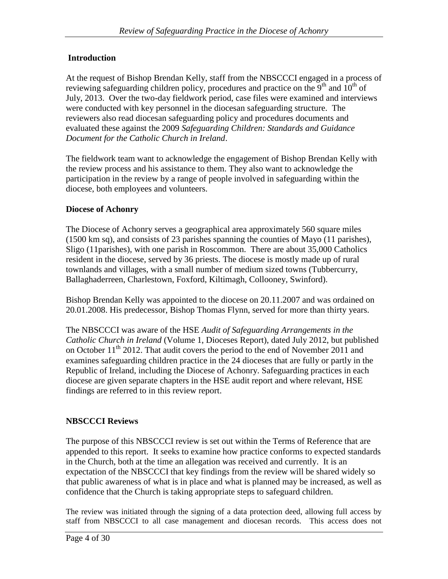# **Introduction**

At the request of Bishop Brendan Kelly, staff from the NBSCCCI engaged in a process of reviewing safeguarding children policy, procedures and practice on the  $9<sup>th</sup>$  and  $10<sup>th</sup>$  of July, 2013. Over the two-day fieldwork period, case files were examined and interviews were conducted with key personnel in the diocesan safeguarding structure. The reviewers also read diocesan safeguarding policy and procedures documents and evaluated these against the 2009 *Safeguarding Children: Standards and Guidance Document for the Catholic Church in Ireland*.

The fieldwork team want to acknowledge the engagement of Bishop Brendan Kelly with the review process and his assistance to them. They also want to acknowledge the participation in the review by a range of people involved in safeguarding within the diocese, both employees and volunteers.

# **Diocese of Achonry**

The Diocese of Achonry serves a geographical area approximately 560 square miles (1500 km sq), and consists of 23 parishes spanning the counties of Mayo (11 parishes), Sligo (11parishes), with one parish in Roscommon. There are about 35,000 Catholics resident in the diocese, served by 36 priests. The diocese is mostly made up of rural townlands and villages, with a small number of medium sized towns (Tubbercurry, Ballaghaderreen, Charlestown, Foxford, Kiltimagh, Collooney, Swinford).

Bishop Brendan Kelly was appointed to the diocese on 20.11.2007 and was ordained on 20.01.2008. His predecessor, Bishop Thomas Flynn, served for more than thirty years.

The NBSCCCI was aware of the HSE *Audit of Safeguarding Arrangements in the Catholic Church in Ireland* (Volume 1, Dioceses Report), dated July 2012, but published on October  $11<sup>th</sup>$  2012. That audit covers the period to the end of November 2011 and examines safeguarding children practice in the 24 dioceses that are fully or partly in the Republic of Ireland, including the Diocese of Achonry. Safeguarding practices in each diocese are given separate chapters in the HSE audit report and where relevant, HSE findings are referred to in this review report.

# **NBSCCCI Reviews**

The purpose of this NBSCCCI review is set out within the Terms of Reference that are appended to this report. It seeks to examine how practice conforms to expected standards in the Church, both at the time an allegation was received and currently. It is an expectation of the NBSCCCI that key findings from the review will be shared widely so that public awareness of what is in place and what is planned may be increased, as well as confidence that the Church is taking appropriate steps to safeguard children.

The review was initiated through the signing of a data protection deed, allowing full access by staff from NBSCCCI to all case management and diocesan records. This access does not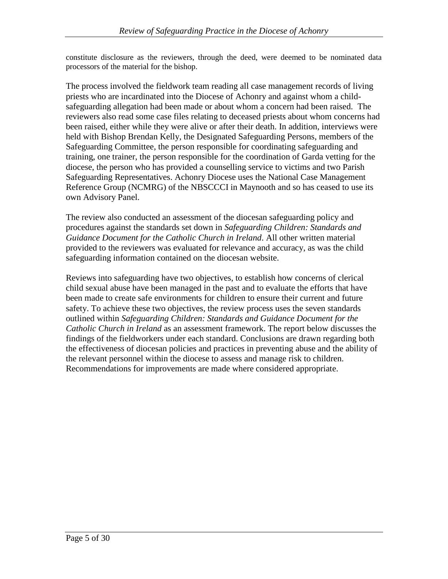constitute disclosure as the reviewers, through the deed, were deemed to be nominated data processors of the material for the bishop.

The process involved the fieldwork team reading all case management records of living priests who are incardinated into the Diocese of Achonry and against whom a childsafeguarding allegation had been made or about whom a concern had been raised. The reviewers also read some case files relating to deceased priests about whom concerns had been raised, either while they were alive or after their death. In addition, interviews were held with Bishop Brendan Kelly, the Designated Safeguarding Persons, members of the Safeguarding Committee, the person responsible for coordinating safeguarding and training, one trainer, the person responsible for the coordination of Garda vetting for the diocese, the person who has provided a counselling service to victims and two Parish Safeguarding Representatives. Achonry Diocese uses the National Case Management Reference Group (NCMRG) of the NBSCCCI in Maynooth and so has ceased to use its own Advisory Panel.

The review also conducted an assessment of the diocesan safeguarding policy and procedures against the standards set down in *Safeguarding Children: Standards and Guidance Document for the Catholic Church in Ireland*. All other written material provided to the reviewers was evaluated for relevance and accuracy, as was the child safeguarding information contained on the diocesan website.

Reviews into safeguarding have two objectives, to establish how concerns of clerical child sexual abuse have been managed in the past and to evaluate the efforts that have been made to create safe environments for children to ensure their current and future safety. To achieve these two objectives, the review process uses the seven standards outlined within *Safeguarding Children: Standards and Guidance Document for the Catholic Church in Ireland* as an assessment framework. The report below discusses the findings of the fieldworkers under each standard. Conclusions are drawn regarding both the effectiveness of diocesan policies and practices in preventing abuse and the ability of the relevant personnel within the diocese to assess and manage risk to children. Recommendations for improvements are made where considered appropriate.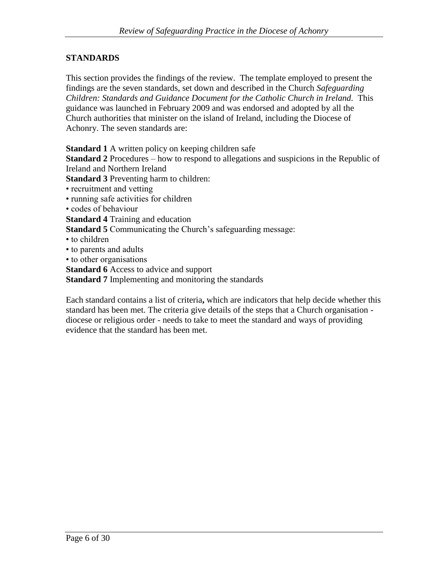## **STANDARDS**

This section provides the findings of the review. The template employed to present the findings are the seven standards, set down and described in the Church *Safeguarding Children: Standards and Guidance Document for the Catholic Church in Ireland.* This guidance was launched in February 2009 and was endorsed and adopted by all the Church authorities that minister on the island of Ireland, including the Diocese of Achonry. The seven standards are:

**Standard 1** A written policy on keeping children safe

**Standard 2** Procedures – how to respond to allegations and suspicions in the Republic of Ireland and Northern Ireland

**Standard 3** Preventing harm to children:

- recruitment and vetting
- running safe activities for children
- codes of behaviour

**Standard 4** Training and education

**Standard 5** Communicating the Church's safeguarding message:

- to children
- to parents and adults
- to other organisations

**Standard 6** Access to advice and support

**Standard 7** Implementing and monitoring the standards

Each standard contains a list of criteria**,** which are indicators that help decide whether this standard has been met. The criteria give details of the steps that a Church organisation diocese or religious order - needs to take to meet the standard and ways of providing evidence that the standard has been met.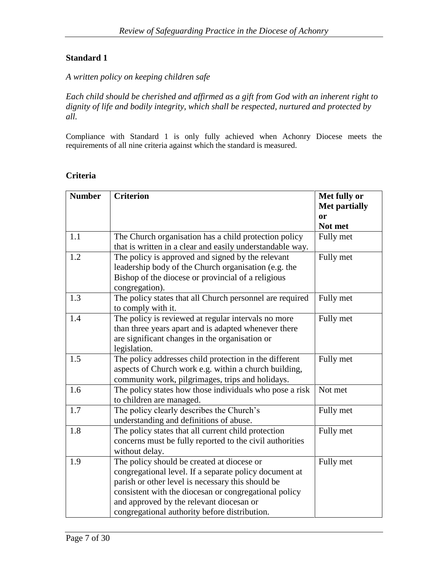*A written policy on keeping children safe*

*Each child should be cherished and affirmed as a gift from God with an inherent right to dignity of life and bodily integrity, which shall be respected, nurtured and protected by all.*

Compliance with Standard 1 is only fully achieved when Achonry Diocese meets the requirements of all nine criteria against which the standard is measured.

#### **Criteria**

| <b>Number</b> | <b>Criterion</b>                                                                                                                                                                                                                                                                                                | Met fully or<br><b>Met partially</b><br><b>or</b><br>Not met |
|---------------|-----------------------------------------------------------------------------------------------------------------------------------------------------------------------------------------------------------------------------------------------------------------------------------------------------------------|--------------------------------------------------------------|
| 1.1           | The Church organisation has a child protection policy<br>that is written in a clear and easily understandable way.                                                                                                                                                                                              | Fully met                                                    |
| 1.2           | The policy is approved and signed by the relevant<br>leadership body of the Church organisation (e.g. the<br>Bishop of the diocese or provincial of a religious<br>congregation).                                                                                                                               | Fully met                                                    |
| 1.3           | The policy states that all Church personnel are required<br>to comply with it.                                                                                                                                                                                                                                  | Fully met                                                    |
| 1.4           | The policy is reviewed at regular intervals no more<br>than three years apart and is adapted whenever there<br>are significant changes in the organisation or<br>legislation.                                                                                                                                   | Fully met                                                    |
| 1.5           | The policy addresses child protection in the different<br>aspects of Church work e.g. within a church building,<br>community work, pilgrimages, trips and holidays.                                                                                                                                             | Fully met                                                    |
| 1.6           | The policy states how those individuals who pose a risk<br>to children are managed.                                                                                                                                                                                                                             | Not met                                                      |
| 1.7           | The policy clearly describes the Church's<br>understanding and definitions of abuse.                                                                                                                                                                                                                            | Fully met                                                    |
| 1.8           | The policy states that all current child protection<br>concerns must be fully reported to the civil authorities<br>without delay.                                                                                                                                                                               | Fully met                                                    |
| 1.9           | The policy should be created at diocese or<br>congregational level. If a separate policy document at<br>parish or other level is necessary this should be<br>consistent with the diocesan or congregational policy<br>and approved by the relevant diocesan or<br>congregational authority before distribution. | Fully met                                                    |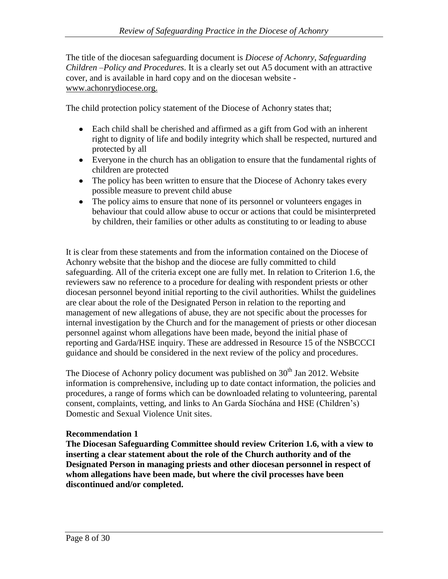The title of the diocesan safeguarding document is *Diocese of Achonry, Safeguarding Children –Policy and Procedures*. It is a clearly set out A5 document with an attractive cover, and is available in hard copy and on the diocesan website www.achonrydiocese.org.

The child protection policy statement of the Diocese of Achonry states that;

- Each child shall be cherished and affirmed as a gift from God with an inherent right to dignity of life and bodily integrity which shall be respected, nurtured and protected by all
- Everyone in the church has an obligation to ensure that the fundamental rights of children are protected
- The policy has been written to ensure that the Diocese of Achonry takes every possible measure to prevent child abuse
- The policy aims to ensure that none of its personnel or volunteers engages in behaviour that could allow abuse to occur or actions that could be misinterpreted by children, their families or other adults as constituting to or leading to abuse

It is clear from these statements and from the information contained on the Diocese of Achonry website that the bishop and the diocese are fully committed to child safeguarding. All of the criteria except one are fully met. In relation to Criterion 1.6, the reviewers saw no reference to a procedure for dealing with respondent priests or other diocesan personnel beyond initial reporting to the civil authorities. Whilst the guidelines are clear about the role of the Designated Person in relation to the reporting and management of new allegations of abuse, they are not specific about the processes for internal investigation by the Church and for the management of priests or other diocesan personnel against whom allegations have been made, beyond the initial phase of reporting and Garda/HSE inquiry. These are addressed in Resource 15 of the NSBCCCI guidance and should be considered in the next review of the policy and procedures.

The Diocese of Achonry policy document was published on  $30<sup>th</sup>$  Jan 2012. Website information is comprehensive, including up to date contact information, the policies and procedures, a range of forms which can be downloaded relating to volunteering, parental consent, complaints, vetting, and links to An Garda Síochána and HSE (Children's) Domestic and Sexual Violence Unit sites.

### **Recommendation 1**

**The Diocesan Safeguarding Committee should review Criterion 1.6, with a view to inserting a clear statement about the role of the Church authority and of the Designated Person in managing priests and other diocesan personnel in respect of whom allegations have been made, but where the civil processes have been discontinued and/or completed.**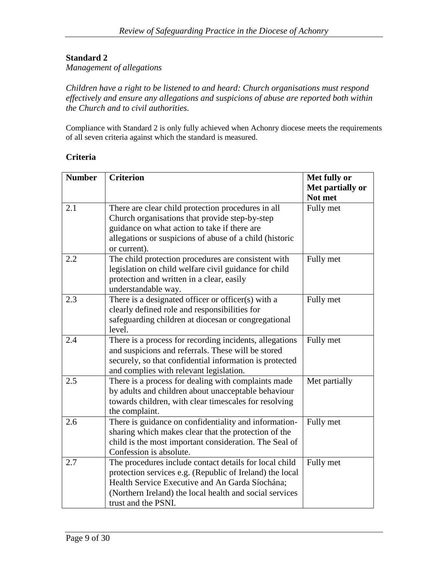*Management of allegations*

*Children have a right to be listened to and heard: Church organisations must respond effectively and ensure any allegations and suspicions of abuse are reported both within the Church and to civil authorities.*

Compliance with Standard 2 is only fully achieved when Achonry diocese meets the requirements of all seven criteria against which the standard is measured.

| Criteria |  |
|----------|--|
|----------|--|

| <b>Number</b> | <b>Criterion</b>                                                                                                                                                                                                                                        | Met fully or<br>Met partially or |
|---------------|---------------------------------------------------------------------------------------------------------------------------------------------------------------------------------------------------------------------------------------------------------|----------------------------------|
|               |                                                                                                                                                                                                                                                         | Not met                          |
| 2.1           | There are clear child protection procedures in all<br>Church organisations that provide step-by-step<br>guidance on what action to take if there are<br>allegations or suspicions of abuse of a child (historic                                         | Fully met                        |
| 2.2           | or current).<br>The child protection procedures are consistent with<br>legislation on child welfare civil guidance for child<br>protection and written in a clear, easily<br>understandable way.                                                        | Fully met                        |
| 2.3           | There is a designated officer or officer(s) with a<br>clearly defined role and responsibilities for<br>safeguarding children at diocesan or congregational<br>level.                                                                                    | Fully met                        |
| 2.4           | There is a process for recording incidents, allegations<br>and suspicions and referrals. These will be stored<br>securely, so that confidential information is protected<br>and complies with relevant legislation.                                     | Fully met                        |
| 2.5           | There is a process for dealing with complaints made<br>by adults and children about unacceptable behaviour<br>towards children, with clear timescales for resolving<br>the complaint.                                                                   | Met partially                    |
| 2.6           | There is guidance on confidentiality and information-<br>sharing which makes clear that the protection of the<br>child is the most important consideration. The Seal of<br>Confession is absolute.                                                      | Fully met                        |
| 2.7           | The procedures include contact details for local child<br>protection services e.g. (Republic of Ireland) the local<br>Health Service Executive and An Garda Síochána;<br>(Northern Ireland) the local health and social services<br>trust and the PSNI. | Fully met                        |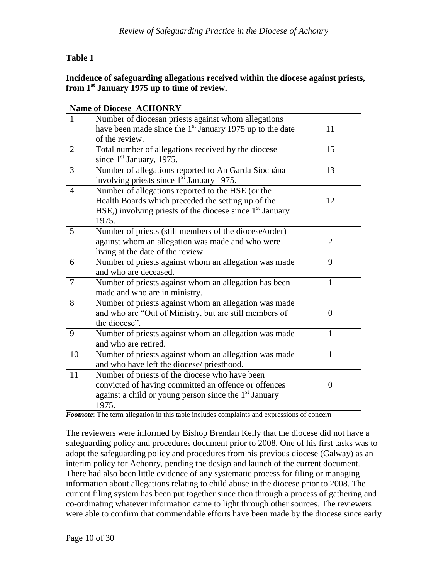## **Table 1**

### **Incidence of safeguarding allegations received within the diocese against priests, from 1st January 1975 up to time of review.**

|                | <b>Name of Diocese ACHONRY</b>                                    |                |
|----------------|-------------------------------------------------------------------|----------------|
| 1              | Number of diocesan priests against whom allegations               |                |
|                | have been made since the $1st$ January 1975 up to the date        | 11             |
|                | of the review.                                                    |                |
| $\overline{2}$ | Total number of allegations received by the diocese               | 15             |
|                | since $1st$ January, 1975.                                        |                |
| 3              | Number of allegations reported to An Garda Síochána               | 13             |
|                | involving priests since 1 <sup>st</sup> January 1975.             |                |
| 4              | Number of allegations reported to the HSE (or the                 |                |
|                | Health Boards which preceded the setting up of the                | 12             |
|                | HSE,) involving priests of the diocese since $1st$ January        |                |
|                | 1975.                                                             |                |
| 5              | Number of priests (still members of the diocese/order)            |                |
|                | against whom an allegation was made and who were                  | $\overline{2}$ |
|                | living at the date of the review.                                 |                |
| 6              | Number of priests against whom an allegation was made             | 9              |
|                | and who are deceased.                                             |                |
| $\overline{7}$ | Number of priests against whom an allegation has been             | $\mathbf{1}$   |
|                | made and who are in ministry.                                     |                |
| 8              | Number of priests against whom an allegation was made             |                |
|                | and who are "Out of Ministry, but are still members of            | 0              |
|                | the diocese".                                                     |                |
| 9              | Number of priests against whom an allegation was made             | $\mathbf{1}$   |
|                | and who are retired.                                              |                |
| 10             | Number of priests against whom an allegation was made             | 1              |
|                | and who have left the diocese/ priesthood.                        |                |
| 11             | Number of priests of the diocese who have been                    |                |
|                | convicted of having committed an offence or offences              | $\overline{0}$ |
|                | against a child or young person since the 1 <sup>st</sup> January |                |
|                | 1975.                                                             |                |

*Footnote*: The term allegation in this table includes complaints and expressions of concern

The reviewers were informed by Bishop Brendan Kelly that the diocese did not have a safeguarding policy and procedures document prior to 2008. One of his first tasks was to adopt the safeguarding policy and procedures from his previous diocese (Galway) as an interim policy for Achonry, pending the design and launch of the current document. There had also been little evidence of any systematic process for filing or managing information about allegations relating to child abuse in the diocese prior to 2008. The current filing system has been put together since then through a process of gathering and co-ordinating whatever information came to light through other sources. The reviewers were able to confirm that commendable efforts have been made by the diocese since early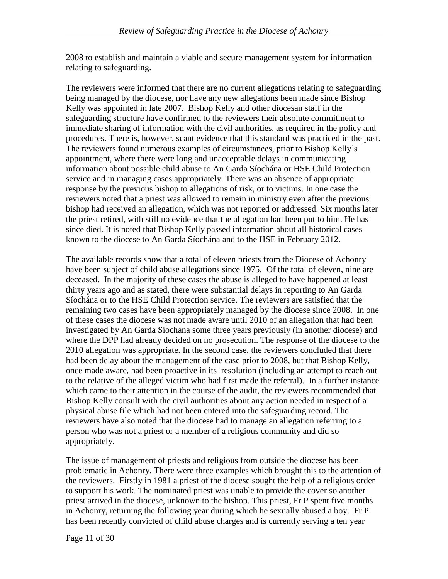2008 to establish and maintain a viable and secure management system for information relating to safeguarding.

The reviewers were informed that there are no current allegations relating to safeguarding being managed by the diocese, nor have any new allegations been made since Bishop Kelly was appointed in late 2007. Bishop Kelly and other diocesan staff in the safeguarding structure have confirmed to the reviewers their absolute commitment to immediate sharing of information with the civil authorities, as required in the policy and procedures. There is, however, scant evidence that this standard was practiced in the past. The reviewers found numerous examples of circumstances, prior to Bishop Kelly's appointment, where there were long and unacceptable delays in communicating information about possible child abuse to An Garda Síochána or HSE Child Protection service and in managing cases appropriately. There was an absence of appropriate response by the previous bishop to allegations of risk, or to victims. In one case the reviewers noted that a priest was allowed to remain in ministry even after the previous bishop had received an allegation, which was not reported or addressed. Six months later the priest retired, with still no evidence that the allegation had been put to him. He has since died. It is noted that Bishop Kelly passed information about all historical cases known to the diocese to An Garda Síochána and to the HSE in February 2012.

The available records show that a total of eleven priests from the Diocese of Achonry have been subject of child abuse allegations since 1975. Of the total of eleven, nine are deceased. In the majority of these cases the abuse is alleged to have happened at least thirty years ago and as stated, there were substantial delays in reporting to An Garda Síochána or to the HSE Child Protection service. The reviewers are satisfied that the remaining two cases have been appropriately managed by the diocese since 2008. In one of these cases the diocese was not made aware until 2010 of an allegation that had been investigated by An Garda Síochána some three years previously (in another diocese) and where the DPP had already decided on no prosecution. The response of the diocese to the 2010 allegation was appropriate. In the second case, the reviewers concluded that there had been delay about the management of the case prior to 2008, but that Bishop Kelly, once made aware, had been proactive in its resolution (including an attempt to reach out to the relative of the alleged victim who had first made the referral). In a further instance which came to their attention in the course of the audit, the reviewers recommended that Bishop Kelly consult with the civil authorities about any action needed in respect of a physical abuse file which had not been entered into the safeguarding record. The reviewers have also noted that the diocese had to manage an allegation referring to a person who was not a priest or a member of a religious community and did so appropriately.

The issue of management of priests and religious from outside the diocese has been problematic in Achonry. There were three examples which brought this to the attention of the reviewers. Firstly in 1981 a priest of the diocese sought the help of a religious order to support his work. The nominated priest was unable to provide the cover so another priest arrived in the diocese, unknown to the bishop. This priest, Fr P spent five months in Achonry, returning the following year during which he sexually abused a boy. Fr P has been recently convicted of child abuse charges and is currently serving a ten year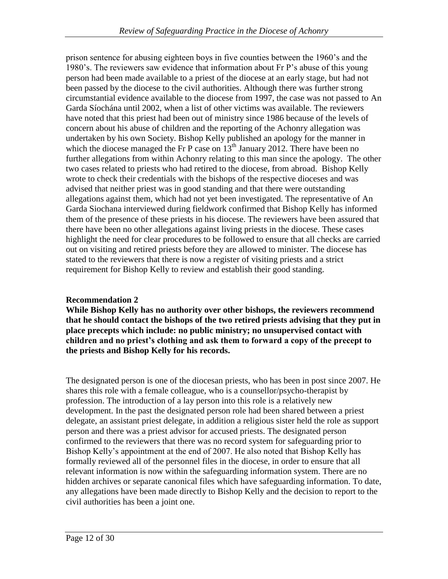prison sentence for abusing eighteen boys in five counties between the 1960's and the 1980's. The reviewers saw evidence that information about Fr P's abuse of this young person had been made available to a priest of the diocese at an early stage, but had not been passed by the diocese to the civil authorities. Although there was further strong circumstantial evidence available to the diocese from 1997, the case was not passed to An Garda Síochána until 2002, when a list of other victims was available. The reviewers have noted that this priest had been out of ministry since 1986 because of the levels of concern about his abuse of children and the reporting of the Achonry allegation was undertaken by his own Society. Bishop Kelly published an apology for the manner in which the diocese managed the Fr P case on  $13<sup>th</sup>$  January 2012. There have been no further allegations from within Achonry relating to this man since the apology. The other two cases related to priests who had retired to the diocese, from abroad. Bishop Kelly wrote to check their credentials with the bishops of the respective dioceses and was advised that neither priest was in good standing and that there were outstanding allegations against them, which had not yet been investigated. The representative of An Garda Siochana interviewed during fieldwork confirmed that Bishop Kelly has informed them of the presence of these priests in his diocese. The reviewers have been assured that there have been no other allegations against living priests in the diocese. These cases highlight the need for clear procedures to be followed to ensure that all checks are carried out on visiting and retired priests before they are allowed to minister. The diocese has stated to the reviewers that there is now a register of visiting priests and a strict requirement for Bishop Kelly to review and establish their good standing.

## **Recommendation 2**

**While Bishop Kelly has no authority over other bishops, the reviewers recommend that he should contact the bishops of the two retired priests advising that they put in place precepts which include: no public ministry; no unsupervised contact with children and no priest's clothing and ask them to forward a copy of the precept to the priests and Bishop Kelly for his records.**

The designated person is one of the diocesan priests, who has been in post since 2007. He shares this role with a female colleague, who is a counsellor/psycho-therapist by profession. The introduction of a lay person into this role is a relatively new development. In the past the designated person role had been shared between a priest delegate, an assistant priest delegate, in addition a religious sister held the role as support person and there was a priest advisor for accused priests. The designated person confirmed to the reviewers that there was no record system for safeguarding prior to Bishop Kelly's appointment at the end of 2007. He also noted that Bishop Kelly has formally reviewed all of the personnel files in the diocese, in order to ensure that all relevant information is now within the safeguarding information system. There are no hidden archives or separate canonical files which have safeguarding information. To date, any allegations have been made directly to Bishop Kelly and the decision to report to the civil authorities has been a joint one.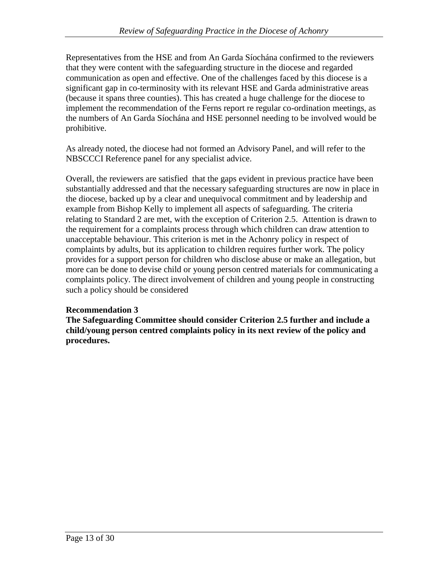Representatives from the HSE and from An Garda Síochána confirmed to the reviewers that they were content with the safeguarding structure in the diocese and regarded communication as open and effective. One of the challenges faced by this diocese is a significant gap in co-terminosity with its relevant HSE and Garda administrative areas (because it spans three counties). This has created a huge challenge for the diocese to implement the recommendation of the Ferns report re regular co-ordination meetings, as the numbers of An Garda Síochána and HSE personnel needing to be involved would be prohibitive.

As already noted, the diocese had not formed an Advisory Panel, and will refer to the NBSCCCI Reference panel for any specialist advice.

Overall, the reviewers are satisfied that the gaps evident in previous practice have been substantially addressed and that the necessary safeguarding structures are now in place in the diocese, backed up by a clear and unequivocal commitment and by leadership and example from Bishop Kelly to implement all aspects of safeguarding. The criteria relating to Standard 2 are met, with the exception of Criterion 2.5. Attention is drawn to the requirement for a complaints process through which children can draw attention to unacceptable behaviour. This criterion is met in the Achonry policy in respect of complaints by adults, but its application to children requires further work. The policy provides for a support person for children who disclose abuse or make an allegation, but more can be done to devise child or young person centred materials for communicating a complaints policy. The direct involvement of children and young people in constructing such a policy should be considered

## **Recommendation 3**

**The Safeguarding Committee should consider Criterion 2.5 further and include a child/young person centred complaints policy in its next review of the policy and procedures.**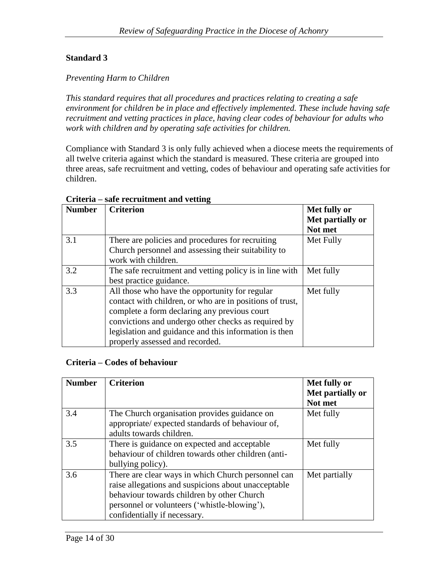### *Preventing Harm to Children*

*This standard requires that all procedures and practices relating to creating a safe environment for children be in place and effectively implemented. These include having safe*  recruitment and vetting practices in place, having clear codes of behaviour for adults who *work with children and by operating safe activities for children.*

Compliance with Standard 3 is only fully achieved when a diocese meets the requirements of all twelve criteria against which the standard is measured. These criteria are grouped into three areas, safe recruitment and vetting, codes of behaviour and operating safe activities for children.

| <b>Number</b> | <b>Criterion</b>                                                                                                                                                                                                                                                                                              | Met fully or<br>Met partially or<br>Not met |
|---------------|---------------------------------------------------------------------------------------------------------------------------------------------------------------------------------------------------------------------------------------------------------------------------------------------------------------|---------------------------------------------|
| 3.1           | There are policies and procedures for recruiting<br>Church personnel and assessing their suitability to<br>work with children.                                                                                                                                                                                | Met Fully                                   |
| 3.2           | The safe recruitment and vetting policy is in line with<br>best practice guidance.                                                                                                                                                                                                                            | Met fully                                   |
| 3.3           | All those who have the opportunity for regular<br>contact with children, or who are in positions of trust,<br>complete a form declaring any previous court<br>convictions and undergo other checks as required by<br>legislation and guidance and this information is then<br>properly assessed and recorded. | Met fully                                   |

#### **Criteria – safe recruitment and vetting**

### **Criteria – Codes of behaviour**

| <b>Number</b> | <b>Criterion</b>                                                                                                                                                                                                                        | Met fully or<br>Met partially or<br>Not met |
|---------------|-----------------------------------------------------------------------------------------------------------------------------------------------------------------------------------------------------------------------------------------|---------------------------------------------|
| 3.4           | The Church organisation provides guidance on<br>appropriate/expected standards of behaviour of,<br>adults towards children.                                                                                                             | Met fully                                   |
| 3.5           | There is guidance on expected and acceptable<br>behaviour of children towards other children (anti-<br>bullying policy).                                                                                                                | Met fully                                   |
| 3.6           | There are clear ways in which Church personnel can<br>raise allegations and suspicions about unacceptable<br>behaviour towards children by other Church<br>personnel or volunteers ('whistle-blowing'),<br>confidentially if necessary. | Met partially                               |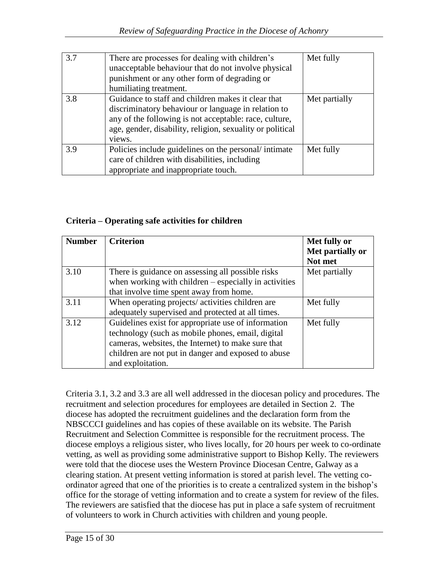| 3.7 | There are processes for dealing with children's<br>unacceptable behaviour that do not involve physical<br>punishment or any other form of degrading or<br>humiliating treatment.                                                           | Met fully     |
|-----|--------------------------------------------------------------------------------------------------------------------------------------------------------------------------------------------------------------------------------------------|---------------|
| 3.8 | Guidance to staff and children makes it clear that<br>discriminatory behaviour or language in relation to<br>any of the following is not acceptable: race, culture,<br>age, gender, disability, religion, sexuality or political<br>views. | Met partially |
| 3.9 | Policies include guidelines on the personal/intimate<br>care of children with disabilities, including<br>appropriate and inappropriate touch.                                                                                              | Met fully     |

## **Criteria – Operating safe activities for children**

| <b>Number</b> | <b>Criterion</b>                                        | Met fully or     |
|---------------|---------------------------------------------------------|------------------|
|               |                                                         | Met partially or |
|               |                                                         | Not met          |
| 3.10          | There is guidance on assessing all possible risks       | Met partially    |
|               | when working with children $-$ especially in activities |                  |
|               | that involve time spent away from home.                 |                  |
| 3.11          | When operating projects/activities children are         | Met fully        |
|               | adequately supervised and protected at all times.       |                  |
| 3.12          | Guidelines exist for appropriate use of information     | Met fully        |
|               | technology (such as mobile phones, email, digital       |                  |
|               | cameras, websites, the Internet) to make sure that      |                  |
|               | children are not put in danger and exposed to abuse     |                  |
|               | and exploitation.                                       |                  |

Criteria 3.1, 3.2 and 3.3 are all well addressed in the diocesan policy and procedures. The recruitment and selection procedures for employees are detailed in Section 2. The diocese has adopted the recruitment guidelines and the declaration form from the NBSCCCI guidelines and has copies of these available on its website. The Parish Recruitment and Selection Committee is responsible for the recruitment process. The diocese employs a religious sister, who lives locally, for 20 hours per week to co-ordinate vetting, as well as providing some administrative support to Bishop Kelly. The reviewers were told that the diocese uses the Western Province Diocesan Centre, Galway as a clearing station. At present vetting information is stored at parish level. The vetting coordinator agreed that one of the priorities is to create a centralized system in the bishop's office for the storage of vetting information and to create a system for review of the files. The reviewers are satisfied that the diocese has put in place a safe system of recruitment of volunteers to work in Church activities with children and young people.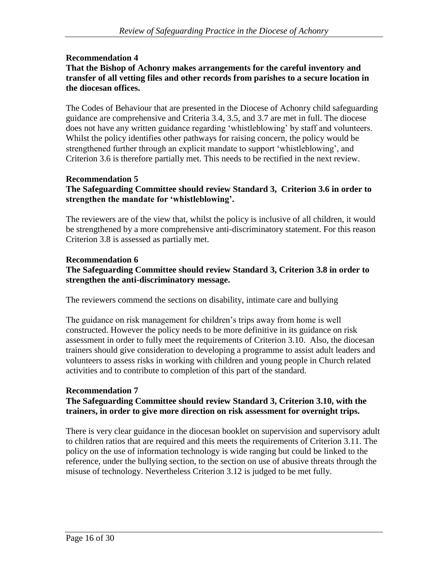#### **Recommendation 4 That the Bishop of Achonry makes arrangements for the careful inventory and transfer of all vetting files and other records from parishes to a secure location in the diocesan offices.**

The Codes of Behaviour that are presented in the Diocese of Achonry child safeguarding guidance are comprehensive and Criteria 3.4, 3.5, and 3.7 are met in full. The diocese does not have any written guidance regarding 'whistleblowing' by staff and volunteers. Whilst the policy identifies other pathways for raising concern, the policy would be strengthened further through an explicit mandate to support 'whistleblowing', and Criterion 3.6 is therefore partially met. This needs to be rectified in the next review.

### **Recommendation 5 The Safeguarding Committee should review Standard 3, Criterion 3.6 in order to strengthen the mandate for 'whistleblowing'.**

The reviewers are of the view that, whilst the policy is inclusive of all children, it would be strengthened by a more comprehensive anti-discriminatory statement. For this reason Criterion 3.8 is assessed as partially met.

### **Recommendation 6 The Safeguarding Committee should review Standard 3, Criterion 3.8 in order to strengthen the anti-discriminatory message.**

The reviewers commend the sections on disability, intimate care and bullying

The guidance on risk management for children's trips away from home is well constructed. However the policy needs to be more definitive in its guidance on risk assessment in order to fully meet the requirements of Criterion 3.10. Also, the diocesan trainers should give consideration to developing a programme to assist adult leaders and volunteers to assess risks in working with children and young people in Church related activities and to contribute to completion of this part of the standard.

## **Recommendation 7**

### **The Safeguarding Committee should review Standard 3, Criterion 3.10, with the trainers, in order to give more direction on risk assessment for overnight trips.**

There is very clear guidance in the diocesan booklet on supervision and supervisory adult to children ratios that are required and this meets the requirements of Criterion 3.11. The policy on the use of information technology is wide ranging but could be linked to the reference, under the bullying section, to the section on use of abusive threats through the misuse of technology. Nevertheless Criterion 3.12 is judged to be met fully.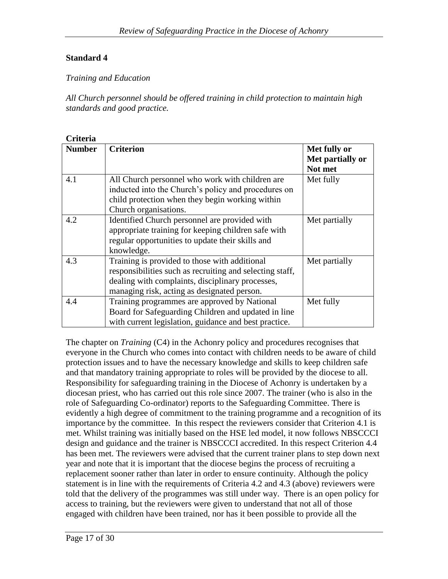## *Training and Education*

*All Church personnel should be offered training in child protection to maintain high standards and good practice.*

# **Criteria**

| <b>Number</b> | <b>Criterion</b>                                         | Met fully or<br>Met partially or |
|---------------|----------------------------------------------------------|----------------------------------|
|               |                                                          | Not met                          |
| 4.1           | All Church personnel who work with children are          | Met fully                        |
|               | inducted into the Church's policy and procedures on      |                                  |
|               | child protection when they begin working within          |                                  |
|               | Church organisations.                                    |                                  |
| 4.2           | Identified Church personnel are provided with            | Met partially                    |
|               | appropriate training for keeping children safe with      |                                  |
|               | regular opportunities to update their skills and         |                                  |
|               | knowledge.                                               |                                  |
| 4.3           | Training is provided to those with additional            | Met partially                    |
|               | responsibilities such as recruiting and selecting staff, |                                  |
|               | dealing with complaints, disciplinary processes,         |                                  |
|               | managing risk, acting as designated person.              |                                  |
| 4.4           | Training programmes are approved by National             | Met fully                        |
|               | Board for Safeguarding Children and updated in line      |                                  |
|               | with current legislation, guidance and best practice.    |                                  |

The chapter on *Training* (C4) in the Achonry policy and procedures recognises that everyone in the Church who comes into contact with children needs to be aware of child protection issues and to have the necessary knowledge and skills to keep children safe and that mandatory training appropriate to roles will be provided by the diocese to all. Responsibility for safeguarding training in the Diocese of Achonry is undertaken by a diocesan priest, who has carried out this role since 2007. The trainer (who is also in the role of Safeguarding Co-ordinator) reports to the Safeguarding Committee. There is evidently a high degree of commitment to the training programme and a recognition of its importance by the committee. In this respect the reviewers consider that Criterion 4.1 is met. Whilst training was initially based on the HSE led model, it now follows NBSCCCI design and guidance and the trainer is NBSCCCI accredited. In this respect Criterion 4.4 has been met. The reviewers were advised that the current trainer plans to step down next year and note that it is important that the diocese begins the process of recruiting a replacement sooner rather than later in order to ensure continuity. Although the policy statement is in line with the requirements of Criteria 4.2 and 4.3 (above) reviewers were told that the delivery of the programmes was still under way. There is an open policy for access to training, but the reviewers were given to understand that not all of those engaged with children have been trained, nor has it been possible to provide all the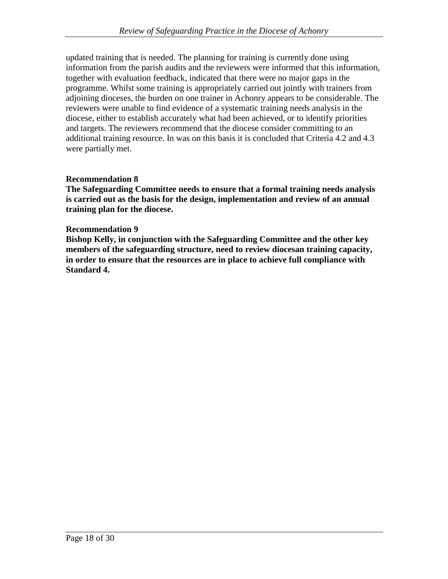updated training that is needed. The planning for training is currently done using information from the parish audits and the reviewers were informed that this information, together with evaluation feedback, indicated that there were no major gaps in the programme. Whilst some training is appropriately carried out jointly with trainers from adjoining dioceses, the burden on one trainer in Achonry appears to be considerable. The reviewers were unable to find evidence of a systematic training needs analysis in the diocese, either to establish accurately what had been achieved, or to identify priorities and targets. The reviewers recommend that the diocese consider committing to an additional training resource. In was on this basis it is concluded that Criteria 4.2 and 4.3 were partially met.

## **Recommendation 8**

**The Safeguarding Committee needs to ensure that a formal training needs analysis is carried out as the basis for the design, implementation and review of an annual training plan for the diocese.**

### **Recommendation 9**

**Bishop Kelly, in conjunction with the Safeguarding Committee and the other key members of the safeguarding structure, need to review diocesan training capacity, in order to ensure that the resources are in place to achieve full compliance with Standard 4.**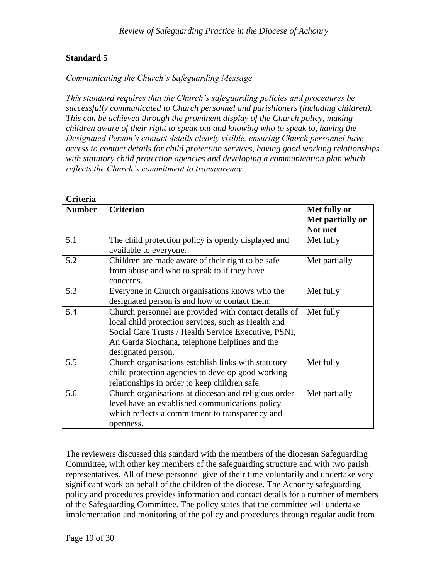### *Communicating the Church's Safeguarding Message*

*This standard requires that the Church's safeguarding policies and procedures be successfully communicated to Church personnel and parishioners (including children). This can be achieved through the prominent display of the Church policy, making children aware of their right to speak out and knowing who to speak to, having the Designated Person's contact details clearly visible, ensuring Church personnel have access to contact details for child protection services, having good working relationships with statutory child protection agencies and developing a communication plan which reflects the Church's commitment to transparency.*

| <b>Number</b> | <b>Criterion</b>                                      | Met fully or     |
|---------------|-------------------------------------------------------|------------------|
|               |                                                       | Met partially or |
|               |                                                       | Not met          |
| 5.1           | The child protection policy is openly displayed and   | Met fully        |
|               | available to everyone.                                |                  |
| 5.2           | Children are made aware of their right to be safe     | Met partially    |
|               | from abuse and who to speak to if they have           |                  |
|               | concerns.                                             |                  |
| 5.3           | Everyone in Church organisations knows who the        | Met fully        |
|               | designated person is and how to contact them.         |                  |
| 5.4           | Church personnel are provided with contact details of | Met fully        |
|               | local child protection services, such as Health and   |                  |
|               | Social Care Trusts / Health Service Executive, PSNI,  |                  |
|               | An Garda Síochána, telephone helplines and the        |                  |
|               | designated person.                                    |                  |
| 5.5           | Church organisations establish links with statutory   | Met fully        |
|               | child protection agencies to develop good working     |                  |
|               | relationships in order to keep children safe.         |                  |
| 5.6           | Church organisations at diocesan and religious order  | Met partially    |
|               | level have an established communications policy       |                  |
|               | which reflects a commitment to transparency and       |                  |
|               | openness.                                             |                  |

The reviewers discussed this standard with the members of the diocesan Safeguarding Committee, with other key members of the safeguarding structure and with two parish representatives. All of these personnel give of their time voluntarily and undertake very significant work on behalf of the children of the diocese. The Achonry safeguarding policy and procedures provides information and contact details for a number of members of the Safeguarding Committee. The policy states that the committee will undertake implementation and monitoring of the policy and procedures through regular audit from

#### **Criteria**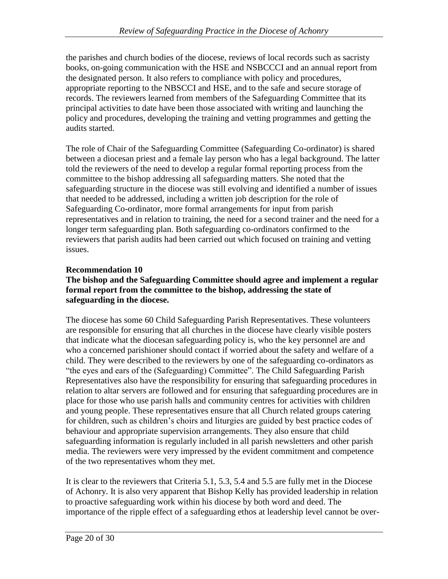the parishes and church bodies of the diocese, reviews of local records such as sacristy books, on-going communication with the HSE and NSBCCCI and an annual report from the designated person. It also refers to compliance with policy and procedures, appropriate reporting to the NBSCCI and HSE, and to the safe and secure storage of records. The reviewers learned from members of the Safeguarding Committee that its principal activities to date have been those associated with writing and launching the policy and procedures, developing the training and vetting programmes and getting the audits started.

The role of Chair of the Safeguarding Committee (Safeguarding Co-ordinator) is shared between a diocesan priest and a female lay person who has a legal background. The latter told the reviewers of the need to develop a regular formal reporting process from the committee to the bishop addressing all safeguarding matters. She noted that the safeguarding structure in the diocese was still evolving and identified a number of issues that needed to be addressed, including a written job description for the role of Safeguarding Co-ordinator, more formal arrangements for input from parish representatives and in relation to training, the need for a second trainer and the need for a longer term safeguarding plan. Both safeguarding co-ordinators confirmed to the reviewers that parish audits had been carried out which focused on training and vetting issues.

## **Recommendation 10**

### **The bishop and the Safeguarding Committee should agree and implement a regular formal report from the committee to the bishop, addressing the state of safeguarding in the diocese.**

The diocese has some 60 Child Safeguarding Parish Representatives. These volunteers are responsible for ensuring that all churches in the diocese have clearly visible posters that indicate what the diocesan safeguarding policy is, who the key personnel are and who a concerned parishioner should contact if worried about the safety and welfare of a child. They were described to the reviewers by one of the safeguarding co-ordinators as "the eyes and ears of the (Safeguarding) Committee". The Child Safeguarding Parish Representatives also have the responsibility for ensuring that safeguarding procedures in relation to altar servers are followed and for ensuring that safeguarding procedures are in place for those who use parish halls and community centres for activities with children and young people. These representatives ensure that all Church related groups catering for children, such as children's choirs and liturgies are guided by best practice codes of behaviour and appropriate supervision arrangements. They also ensure that child safeguarding information is regularly included in all parish newsletters and other parish media. The reviewers were very impressed by the evident commitment and competence of the two representatives whom they met.

It is clear to the reviewers that Criteria 5.1, 5.3, 5.4 and 5.5 are fully met in the Diocese of Achonry. It is also very apparent that Bishop Kelly has provided leadership in relation to proactive safeguarding work within his diocese by both word and deed. The importance of the ripple effect of a safeguarding ethos at leadership level cannot be over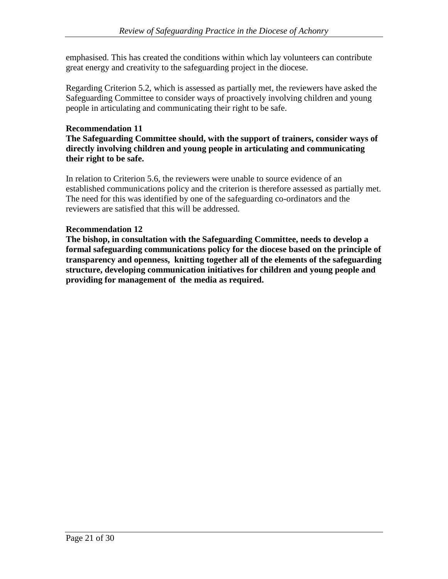emphasised. This has created the conditions within which lay volunteers can contribute great energy and creativity to the safeguarding project in the diocese.

Regarding Criterion 5.2, which is assessed as partially met, the reviewers have asked the Safeguarding Committee to consider ways of proactively involving children and young people in articulating and communicating their right to be safe.

### **Recommendation 11**

**The Safeguarding Committee should, with the support of trainers, consider ways of directly involving children and young people in articulating and communicating their right to be safe.**

In relation to Criterion 5.6, the reviewers were unable to source evidence of an established communications policy and the criterion is therefore assessed as partially met. The need for this was identified by one of the safeguarding co-ordinators and the reviewers are satisfied that this will be addressed.

### **Recommendation 12**

**The bishop, in consultation with the Safeguarding Committee, needs to develop a formal safeguarding communications policy for the diocese based on the principle of transparency and openness, knitting together all of the elements of the safeguarding structure, developing communication initiatives for children and young people and providing for management of the media as required.**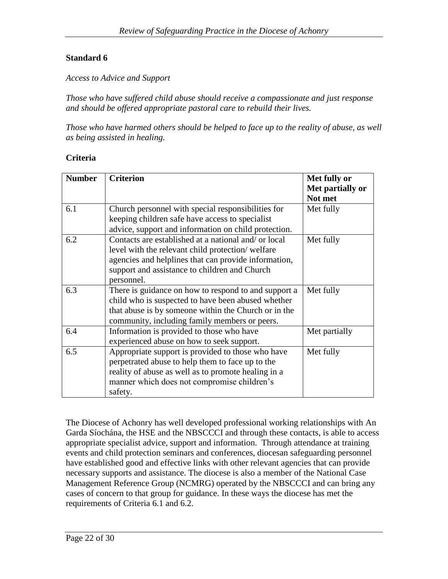*Access to Advice and Support*

*Those who have suffered child abuse should receive a compassionate and just response and should be offered appropriate pastoral care to rebuild their lives.*

*Those who have harmed others should be helped to face up to the reality of abuse, as well as being assisted in healing.*

### **Criteria**

| <b>Number</b> | <b>Criterion</b>                                     | Met fully or                |
|---------------|------------------------------------------------------|-----------------------------|
|               |                                                      | Met partially or<br>Not met |
| 6.1           | Church personnel with special responsibilities for   | Met fully                   |
|               | keeping children safe have access to specialist      |                             |
|               | advice, support and information on child protection. |                             |
| 6.2           | Contacts are established at a national and/ or local | Met fully                   |
|               | level with the relevant child protection/welfare     |                             |
|               | agencies and helplines that can provide information, |                             |
|               | support and assistance to children and Church        |                             |
|               | personnel.                                           |                             |
| 6.3           | There is guidance on how to respond to and support a | Met fully                   |
|               | child who is suspected to have been abused whether   |                             |
|               | that abuse is by someone within the Church or in the |                             |
|               | community, including family members or peers.        |                             |
| 6.4           | Information is provided to those who have            | Met partially               |
|               | experienced abuse on how to seek support.            |                             |
| 6.5           | Appropriate support is provided to those who have    | Met fully                   |
|               | perpetrated abuse to help them to face up to the     |                             |
|               | reality of abuse as well as to promote healing in a  |                             |
|               | manner which does not compromise children's          |                             |
|               | safety.                                              |                             |

The Diocese of Achonry has well developed professional working relationships with An Garda Síochána, the HSE and the NBSCCCI and through these contacts, is able to access appropriate specialist advice, support and information. Through attendance at training events and child protection seminars and conferences, diocesan safeguarding personnel have established good and effective links with other relevant agencies that can provide necessary supports and assistance. The diocese is also a member of the National Case Management Reference Group (NCMRG) operated by the NBSCCCI and can bring any cases of concern to that group for guidance. In these ways the diocese has met the requirements of Criteria 6.1 and 6.2.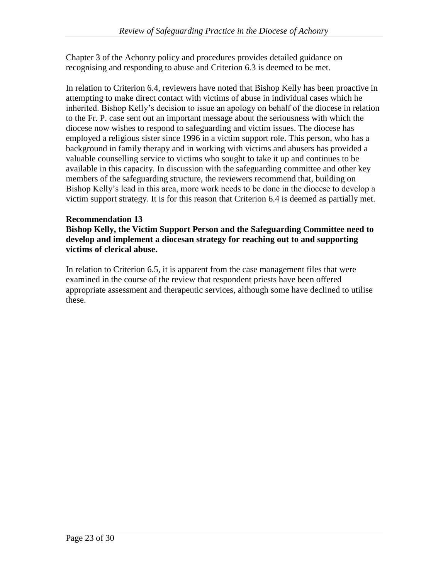Chapter 3 of the Achonry policy and procedures provides detailed guidance on recognising and responding to abuse and Criterion 6.3 is deemed to be met.

In relation to Criterion 6.4, reviewers have noted that Bishop Kelly has been proactive in attempting to make direct contact with victims of abuse in individual cases which he inherited. Bishop Kelly's decision to issue an apology on behalf of the diocese in relation to the Fr. P. case sent out an important message about the seriousness with which the diocese now wishes to respond to safeguarding and victim issues. The diocese has employed a religious sister since 1996 in a victim support role. This person, who has a background in family therapy and in working with victims and abusers has provided a valuable counselling service to victims who sought to take it up and continues to be available in this capacity. In discussion with the safeguarding committee and other key members of the safeguarding structure, the reviewers recommend that, building on Bishop Kelly's lead in this area, more work needs to be done in the diocese to develop a victim support strategy. It is for this reason that Criterion 6.4 is deemed as partially met.

## **Recommendation 13**

**Bishop Kelly, the Victim Support Person and the Safeguarding Committee need to develop and implement a diocesan strategy for reaching out to and supporting victims of clerical abuse.**

In relation to Criterion 6.5, it is apparent from the case management files that were examined in the course of the review that respondent priests have been offered appropriate assessment and therapeutic services, although some have declined to utilise these.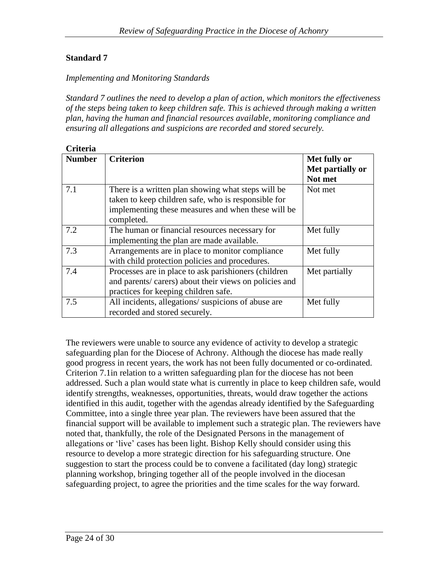### *Implementing and Monitoring Standards*

*Standard 7 outlines the need to develop a plan of action, which monitors the effectiveness of the steps being taken to keep children safe. This is achieved through making a written plan, having the human and financial resources available, monitoring compliance and ensuring all allegations and suspicions are recorded and stored securely.*

| Criteria |  |
|----------|--|
|          |  |

| Спена         |                                                       |                                             |
|---------------|-------------------------------------------------------|---------------------------------------------|
| <b>Number</b> | <b>Criterion</b>                                      | Met fully or<br>Met partially or<br>Not met |
|               |                                                       |                                             |
| 7.1           | There is a written plan showing what steps will be    | Not met                                     |
|               | taken to keep children safe, who is responsible for   |                                             |
|               | implementing these measures and when these will be    |                                             |
|               | completed.                                            |                                             |
| 7.2           | The human or financial resources necessary for        | Met fully                                   |
|               | implementing the plan are made available.             |                                             |
| 7.3           | Arrangements are in place to monitor compliance       | Met fully                                   |
|               | with child protection policies and procedures.        |                                             |
| 7.4           | Processes are in place to ask parishioners (children  | Met partially                               |
|               | and parents/carers) about their views on policies and |                                             |
|               | practices for keeping children safe.                  |                                             |
| 7.5           | All incidents, allegations/suspicions of abuse are    | Met fully                                   |
|               | recorded and stored securely.                         |                                             |

The reviewers were unable to source any evidence of activity to develop a strategic safeguarding plan for the Diocese of Achrony. Although the diocese has made really good progress in recent years, the work has not been fully documented or co-ordinated. Criterion 7.1in relation to a written safeguarding plan for the diocese has not been addressed. Such a plan would state what is currently in place to keep children safe, would identify strengths, weaknesses, opportunities, threats, would draw together the actions identified in this audit, together with the agendas already identified by the Safeguarding Committee, into a single three year plan. The reviewers have been assured that the financial support will be available to implement such a strategic plan. The reviewers have noted that, thankfully, the role of the Designated Persons in the management of allegations or 'live' cases has been light. Bishop Kelly should consider using this resource to develop a more strategic direction for his safeguarding structure. One suggestion to start the process could be to convene a facilitated (day long) strategic planning workshop, bringing together all of the people involved in the diocesan safeguarding project, to agree the priorities and the time scales for the way forward.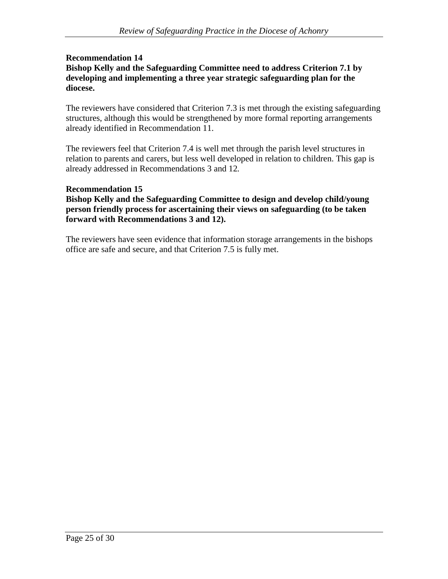### **Recommendation 14 Bishop Kelly and the Safeguarding Committee need to address Criterion 7.1 by developing and implementing a three year strategic safeguarding plan for the diocese.**

The reviewers have considered that Criterion 7.3 is met through the existing safeguarding structures, although this would be strengthened by more formal reporting arrangements already identified in Recommendation 11.

The reviewers feel that Criterion 7.4 is well met through the parish level structures in relation to parents and carers, but less well developed in relation to children. This gap is already addressed in Recommendations 3 and 12*.* 

## **Recommendation 15**

**Bishop Kelly and the Safeguarding Committee to design and develop child/young person friendly process for ascertaining their views on safeguarding (to be taken forward with Recommendations 3 and 12).** 

The reviewers have seen evidence that information storage arrangements in the bishops office are safe and secure, and that Criterion 7.5 is fully met.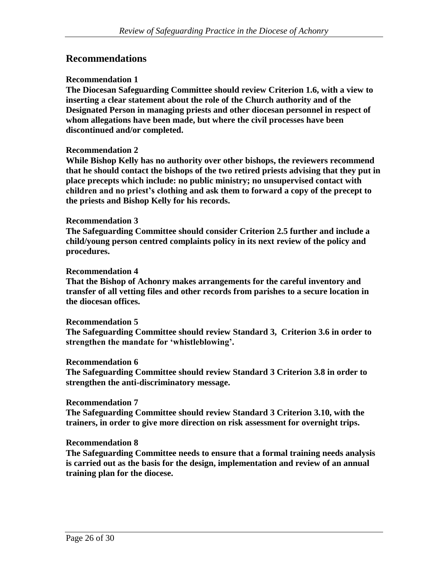# **Recommendations**

#### **Recommendation 1**

**The Diocesan Safeguarding Committee should review Criterion 1.6, with a view to inserting a clear statement about the role of the Church authority and of the Designated Person in managing priests and other diocesan personnel in respect of whom allegations have been made, but where the civil processes have been discontinued and/or completed.**

#### **Recommendation 2**

**While Bishop Kelly has no authority over other bishops, the reviewers recommend that he should contact the bishops of the two retired priests advising that they put in place precepts which include: no public ministry; no unsupervised contact with children and no priest's clothing and ask them to forward a copy of the precept to the priests and Bishop Kelly for his records.**

#### **Recommendation 3**

**The Safeguarding Committee should consider Criterion 2.5 further and include a child/young person centred complaints policy in its next review of the policy and procedures.**

#### **Recommendation 4**

**That the Bishop of Achonry makes arrangements for the careful inventory and transfer of all vetting files and other records from parishes to a secure location in the diocesan offices.**

#### **Recommendation 5**

**The Safeguarding Committee should review Standard 3, Criterion 3.6 in order to strengthen the mandate for 'whistleblowing'.**

#### **Recommendation 6**

**The Safeguarding Committee should review Standard 3 Criterion 3.8 in order to strengthen the anti-discriminatory message.**

#### **Recommendation 7**

**The Safeguarding Committee should review Standard 3 Criterion 3.10, with the trainers, in order to give more direction on risk assessment for overnight trips.**

### **Recommendation 8**

**The Safeguarding Committee needs to ensure that a formal training needs analysis is carried out as the basis for the design, implementation and review of an annual training plan for the diocese.**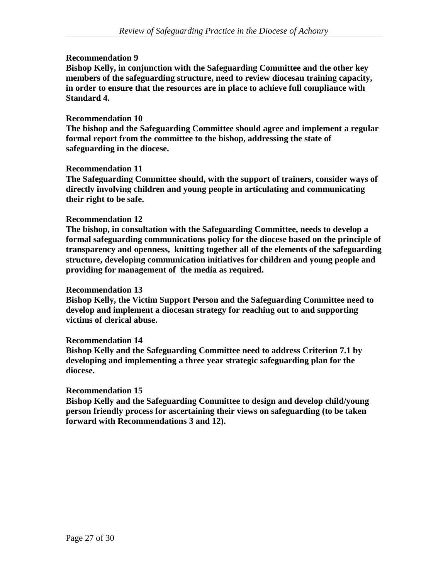### **Recommendation 9**

**Bishop Kelly, in conjunction with the Safeguarding Committee and the other key members of the safeguarding structure, need to review diocesan training capacity, in order to ensure that the resources are in place to achieve full compliance with Standard 4.**

### **Recommendation 10**

**The bishop and the Safeguarding Committee should agree and implement a regular formal report from the committee to the bishop, addressing the state of safeguarding in the diocese.**

### **Recommendation 11**

**The Safeguarding Committee should, with the support of trainers, consider ways of directly involving children and young people in articulating and communicating their right to be safe.**

### **Recommendation 12**

**The bishop, in consultation with the Safeguarding Committee, needs to develop a formal safeguarding communications policy for the diocese based on the principle of transparency and openness, knitting together all of the elements of the safeguarding structure, developing communication initiatives for children and young people and providing for management of the media as required.**

### **Recommendation 13**

**Bishop Kelly, the Victim Support Person and the Safeguarding Committee need to develop and implement a diocesan strategy for reaching out to and supporting victims of clerical abuse.**

### **Recommendation 14**

**Bishop Kelly and the Safeguarding Committee need to address Criterion 7.1 by developing and implementing a three year strategic safeguarding plan for the diocese.**

### **Recommendation 15**

**Bishop Kelly and the Safeguarding Committee to design and develop child/young person friendly process for ascertaining their views on safeguarding (to be taken forward with Recommendations 3 and 12).**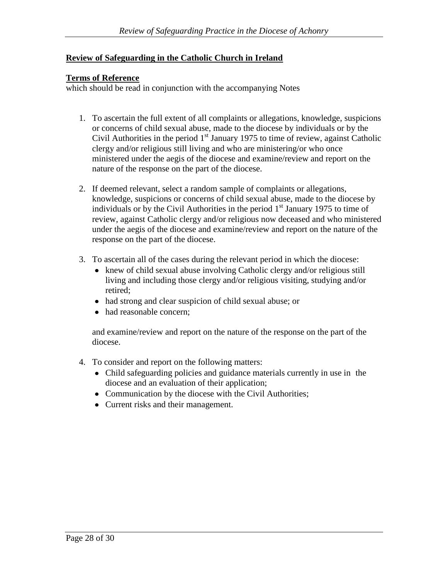### **Review of Safeguarding in the Catholic Church in Ireland**

### **Terms of Reference**

which should be read in conjunction with the accompanying Notes

- 1. To ascertain the full extent of all complaints or allegations, knowledge, suspicions or concerns of child sexual abuse, made to the diocese by individuals or by the Civil Authorities in the period  $1<sup>st</sup>$  January 1975 to time of review, against Catholic clergy and/or religious still living and who are ministering/or who once ministered under the aegis of the diocese and examine/review and report on the nature of the response on the part of the diocese.
- 2. If deemed relevant, select a random sample of complaints or allegations, knowledge, suspicions or concerns of child sexual abuse, made to the diocese by individuals or by the Civil Authorities in the period  $1<sup>st</sup>$  January 1975 to time of review, against Catholic clergy and/or religious now deceased and who ministered under the aegis of the diocese and examine/review and report on the nature of the response on the part of the diocese.
- 3. To ascertain all of the cases during the relevant period in which the diocese:
	- knew of child sexual abuse involving Catholic clergy and/or religious still living and including those clergy and/or religious visiting, studying and/or retired;
	- had strong and clear suspicion of child sexual abuse; or
	- had reasonable concern:

and examine/review and report on the nature of the response on the part of the diocese.

- 4. To consider and report on the following matters:
	- Child safeguarding policies and guidance materials currently in use in the diocese and an evaluation of their application;
	- Communication by the diocese with the Civil Authorities;
	- Current risks and their management.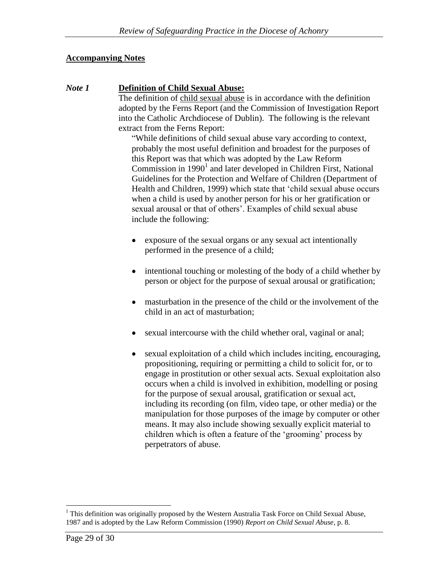### **Accompanying Notes**

### *Note 1* **Definition of Child Sexual Abuse:**

The definition of child sexual abuse is in accordance with the definition adopted by the Ferns Report (and the Commission of Investigation Report into the Catholic Archdiocese of Dublin). The following is the relevant extract from the Ferns Report:

"While definitions of child sexual abuse vary according to context, probably the most useful definition and broadest for the purposes of this Report was that which was adopted by the Law Reform Commission in  $1990<sup>1</sup>$  and later developed in Children First, National Guidelines for the Protection and Welfare of Children (Department of Health and Children, 1999) which state that 'child sexual abuse occurs when a child is used by another person for his or her gratification or sexual arousal or that of others'. Examples of child sexual abuse include the following:

- exposure of the sexual organs or any sexual act intentionally performed in the presence of a child;
- intentional touching or molesting of the body of a child whether by person or object for the purpose of sexual arousal or gratification;
- masturbation in the presence of the child or the involvement of the child in an act of masturbation;
- sexual intercourse with the child whether oral, vaginal or anal;
- sexual exploitation of a child which includes inciting, encouraging,  $\bullet$ propositioning, requiring or permitting a child to solicit for, or to engage in prostitution or other sexual acts. Sexual exploitation also occurs when a child is involved in exhibition, modelling or posing for the purpose of sexual arousal, gratification or sexual act, including its recording (on film, video tape, or other media) or the manipulation for those purposes of the image by computer or other means. It may also include showing sexually explicit material to children which is often a feature of the 'grooming' process by perpetrators of abuse.

 $\overline{a}$ <sup>1</sup> This definition was originally proposed by the Western Australia Task Force on Child Sexual Abuse, 1987 and is adopted by the Law Reform Commission (1990) *Report on Child Sexual Abuse*, p. 8.